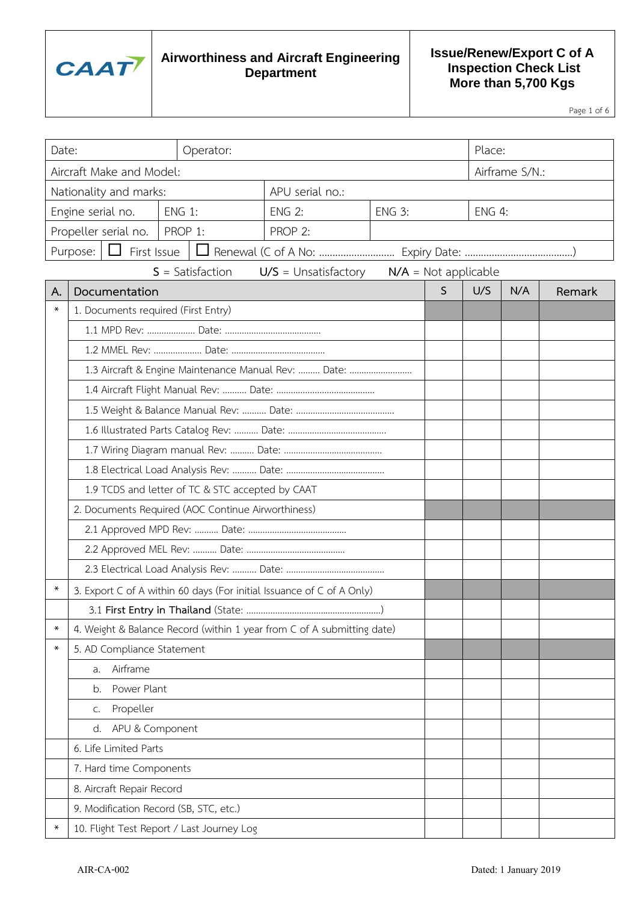

### **Issue/Renew/Export C of A Inspection Check List More than 5,700 Kgs**

Page 1 of 6

| Date:<br>Operator:     |                                                                       |                                                                        |                 |               |                                               | Place:        |     |        |  |  |
|------------------------|-----------------------------------------------------------------------|------------------------------------------------------------------------|-----------------|---------------|-----------------------------------------------|---------------|-----|--------|--|--|
|                        | Aircraft Make and Model:<br>Airframe S/N.:                            |                                                                        |                 |               |                                               |               |     |        |  |  |
| Nationality and marks: |                                                                       |                                                                        | APU serial no.: |               |                                               |               |     |        |  |  |
|                        | Engine serial no.                                                     | <b>ENG 1:</b>                                                          | <b>ENG 2:</b>   | <b>ENG 3:</b> |                                               | <b>ENG 4:</b> |     |        |  |  |
|                        | Propeller serial no.                                                  | PROP 1:                                                                | PROP 2:         |               |                                               |               |     |        |  |  |
|                        | $\Box$ First Issue<br>Purpose:                                        |                                                                        |                 |               |                                               |               |     |        |  |  |
|                        |                                                                       | $S = Satisfactor$                                                      |                 |               | $U/S =$ Unsatisfactory $N/A =$ Not applicable |               |     |        |  |  |
| А.<br>$\ast$           | Documentation                                                         |                                                                        |                 |               | $\mathsf{S}$                                  | U/S           | N/A | Remark |  |  |
|                        | 1. Documents required (First Entry)                                   |                                                                        |                 |               |                                               |               |     |        |  |  |
|                        |                                                                       |                                                                        |                 |               |                                               |               |     |        |  |  |
|                        |                                                                       |                                                                        |                 |               |                                               |               |     |        |  |  |
|                        |                                                                       | 1.3 Aircraft & Engine Maintenance Manual Rev:  Date:                   |                 |               |                                               |               |     |        |  |  |
|                        |                                                                       |                                                                        |                 |               |                                               |               |     |        |  |  |
|                        |                                                                       |                                                                        |                 |               |                                               |               |     |        |  |  |
|                        |                                                                       |                                                                        |                 |               |                                               |               |     |        |  |  |
|                        |                                                                       |                                                                        |                 |               |                                               |               |     |        |  |  |
|                        |                                                                       |                                                                        |                 |               |                                               |               |     |        |  |  |
|                        | 1.9 TCDS and letter of TC & STC accepted by CAAT                      |                                                                        |                 |               |                                               |               |     |        |  |  |
|                        | 2. Documents Required (AOC Continue Airworthiness)                    |                                                                        |                 |               |                                               |               |     |        |  |  |
|                        |                                                                       |                                                                        |                 |               |                                               |               |     |        |  |  |
|                        |                                                                       |                                                                        |                 |               |                                               |               |     |        |  |  |
|                        |                                                                       |                                                                        |                 |               |                                               |               |     |        |  |  |
|                        | 3. Export C of A within 60 days (For initial Issuance of C of A Only) |                                                                        |                 |               |                                               |               |     |        |  |  |
| ∗                      |                                                                       | 4. Weight & Balance Record (within 1 year from C of A submitting date) |                 |               |                                               |               |     |        |  |  |
| $\ast$                 | 5. AD Compliance Statement                                            |                                                                        |                 |               |                                               |               |     |        |  |  |
|                        | Airframe<br>a.                                                        |                                                                        |                 |               |                                               |               |     |        |  |  |
|                        |                                                                       |                                                                        |                 |               |                                               |               |     |        |  |  |
|                        | Power Plant<br>b.<br>Propeller                                        |                                                                        |                 |               |                                               |               |     |        |  |  |
|                        | C.<br>APU & Component<br>d.                                           |                                                                        |                 |               |                                               |               |     |        |  |  |
|                        | 6. Life Limited Parts                                                 |                                                                        |                 |               |                                               |               |     |        |  |  |
|                        |                                                                       |                                                                        |                 |               |                                               |               |     |        |  |  |
|                        | 7. Hard time Components<br>8. Aircraft Repair Record                  |                                                                        |                 |               |                                               |               |     |        |  |  |
|                        | 9. Modification Record (SB, STC, etc.)                                |                                                                        |                 |               |                                               |               |     |        |  |  |
| ∗                      |                                                                       |                                                                        |                 |               |                                               |               |     |        |  |  |
|                        | 10. Flight Test Report / Last Journey Log                             |                                                                        |                 |               |                                               |               |     |        |  |  |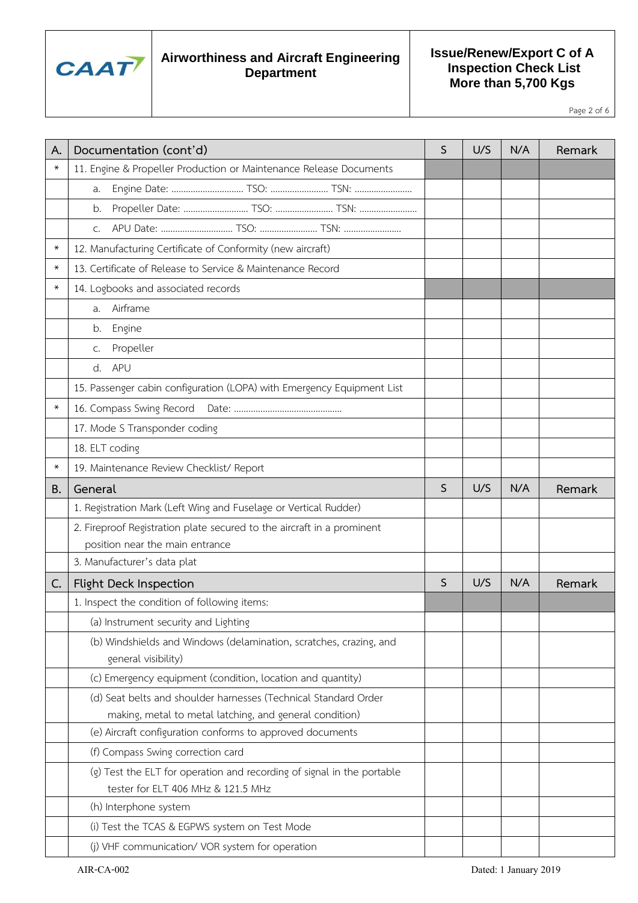

### **Issue/Renew/Export C of A Inspection Check List More than 5,700 Kgs**

Page 2 of 6

| А.     | Documentation (cont'd)                                                                                                                                                                                                                                                                                                                                                                                 | $\mathsf{S}$ | U/S | N/A | Remark |
|--------|--------------------------------------------------------------------------------------------------------------------------------------------------------------------------------------------------------------------------------------------------------------------------------------------------------------------------------------------------------------------------------------------------------|--------------|-----|-----|--------|
| $\ast$ | 11. Engine & Propeller Production or Maintenance Release Documents                                                                                                                                                                                                                                                                                                                                     |              |     |     |        |
|        | Engine Date:  TSO:  TSN:<br>a.                                                                                                                                                                                                                                                                                                                                                                         |              |     |     |        |
|        | Propeller Date:  TSO:  TSN:<br>b.                                                                                                                                                                                                                                                                                                                                                                      |              |     |     |        |
|        | APU Date:  TSO:  TSN:<br>C.                                                                                                                                                                                                                                                                                                                                                                            |              |     |     |        |
| $\ast$ | 12. Manufacturing Certificate of Conformity (new aircraft)                                                                                                                                                                                                                                                                                                                                             |              |     |     |        |
| ∗      | 13. Certificate of Release to Service & Maintenance Record                                                                                                                                                                                                                                                                                                                                             |              |     |     |        |
| $\ast$ | 14. Logbooks and associated records                                                                                                                                                                                                                                                                                                                                                                    |              |     |     |        |
|        | Airframe<br>a.                                                                                                                                                                                                                                                                                                                                                                                         |              |     |     |        |
|        | Engine<br>b.                                                                                                                                                                                                                                                                                                                                                                                           |              |     |     |        |
|        | Propeller<br>C.                                                                                                                                                                                                                                                                                                                                                                                        |              |     |     |        |
|        | APU<br>d.                                                                                                                                                                                                                                                                                                                                                                                              |              |     |     |        |
|        | 15. Passenger cabin configuration (LOPA) with Emergency Equipment List                                                                                                                                                                                                                                                                                                                                 |              |     |     |        |
| $\ast$ |                                                                                                                                                                                                                                                                                                                                                                                                        |              |     |     |        |
|        | 17. Mode S Transponder coding                                                                                                                                                                                                                                                                                                                                                                          |              |     |     |        |
|        | 18. ELT coding                                                                                                                                                                                                                                                                                                                                                                                         |              |     |     |        |
| ∗      | 19. Maintenance Review Checklist/ Report                                                                                                                                                                                                                                                                                                                                                               |              |     |     |        |
| В.     | General                                                                                                                                                                                                                                                                                                                                                                                                | S            | U/S | N/A | Remark |
|        | 1. Registration Mark (Left Wing and Fuselage or Vertical Rudder)                                                                                                                                                                                                                                                                                                                                       |              |     |     |        |
|        | 2. Fireproof Registration plate secured to the aircraft in a prominent                                                                                                                                                                                                                                                                                                                                 |              |     |     |        |
|        | position near the main entrance                                                                                                                                                                                                                                                                                                                                                                        |              |     |     |        |
|        | 3. Manufacturer's data plat                                                                                                                                                                                                                                                                                                                                                                            |              |     |     |        |
| C.     | Flight Deck Inspection                                                                                                                                                                                                                                                                                                                                                                                 | S            | U/S | N/A | Remark |
|        | 1. Inspect the condition of following items:                                                                                                                                                                                                                                                                                                                                                           |              |     |     |        |
|        | (a) Instrument security and Lighting                                                                                                                                                                                                                                                                                                                                                                   |              |     |     |        |
|        | (b) Windshields and Windows (delamination, scratches, crazing, and                                                                                                                                                                                                                                                                                                                                     |              |     |     |        |
|        | general visibility)                                                                                                                                                                                                                                                                                                                                                                                    |              |     |     |        |
|        | (c) Emergency equipment (condition, location and quantity)                                                                                                                                                                                                                                                                                                                                             |              |     |     |        |
|        | (d) Seat belts and shoulder harnesses (Technical Standard Order                                                                                                                                                                                                                                                                                                                                        |              |     |     |        |
|        |                                                                                                                                                                                                                                                                                                                                                                                                        |              |     |     |        |
|        |                                                                                                                                                                                                                                                                                                                                                                                                        |              |     |     |        |
|        |                                                                                                                                                                                                                                                                                                                                                                                                        |              |     |     |        |
|        |                                                                                                                                                                                                                                                                                                                                                                                                        |              |     |     |        |
|        |                                                                                                                                                                                                                                                                                                                                                                                                        |              |     |     |        |
|        |                                                                                                                                                                                                                                                                                                                                                                                                        |              |     |     |        |
|        |                                                                                                                                                                                                                                                                                                                                                                                                        |              |     |     |        |
|        | making, metal to metal latching, and general condition)<br>(e) Aircraft configuration conforms to approved documents<br>(f) Compass Swing correction card<br>(g) Test the ELT for operation and recording of signal in the portable<br>tester for ELT 406 MHz & 121.5 MHz<br>(h) Interphone system<br>(i) Test the TCAS & EGPWS system on Test Mode<br>(j) VHF communication/ VOR system for operation |              |     |     |        |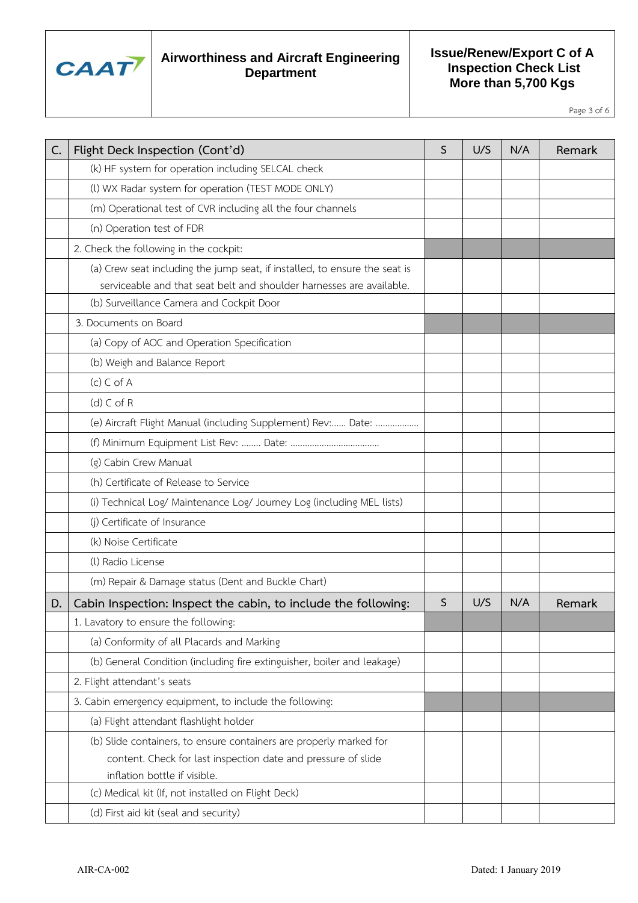

### **Issue/Renew/Export C of A Inspection Check List More than 5,700 Kgs**

Page 3 of 6

| C. | Flight Deck Inspection (Cont'd)                                                                                                                                     | S | U/S | N/A | Remark |
|----|---------------------------------------------------------------------------------------------------------------------------------------------------------------------|---|-----|-----|--------|
|    | (k) HF system for operation including SELCAL check                                                                                                                  |   |     |     |        |
|    | (I) WX Radar system for operation (TEST MODE ONLY)                                                                                                                  |   |     |     |        |
|    | (m) Operational test of CVR including all the four channels                                                                                                         |   |     |     |        |
|    | (n) Operation test of FDR                                                                                                                                           |   |     |     |        |
|    | 2. Check the following in the cockpit:                                                                                                                              |   |     |     |        |
|    | (a) Crew seat including the jump seat, if installed, to ensure the seat is<br>serviceable and that seat belt and shoulder harnesses are available.                  |   |     |     |        |
|    | (b) Surveillance Camera and Cockpit Door                                                                                                                            |   |     |     |        |
|    | 3. Documents on Board                                                                                                                                               |   |     |     |        |
|    | (a) Copy of AOC and Operation Specification                                                                                                                         |   |     |     |        |
|    | (b) Weigh and Balance Report                                                                                                                                        |   |     |     |        |
|    | $(c)$ C of A                                                                                                                                                        |   |     |     |        |
|    | $(d)$ C of R                                                                                                                                                        |   |     |     |        |
|    | (e) Aircraft Flight Manual (including Supplement) Rev: Date:                                                                                                        |   |     |     |        |
|    | (f) Minimum Equipment List Rev:  Date:                                                                                                                              |   |     |     |        |
|    | (g) Cabin Crew Manual                                                                                                                                               |   |     |     |        |
|    | (h) Certificate of Release to Service                                                                                                                               |   |     |     |        |
|    | (i) Technical Log/ Maintenance Log/ Journey Log (including MEL lists)                                                                                               |   |     |     |        |
|    | (j) Certificate of Insurance                                                                                                                                        |   |     |     |        |
|    | (k) Noise Certificate                                                                                                                                               |   |     |     |        |
|    | (I) Radio License                                                                                                                                                   |   |     |     |        |
|    | (m) Repair & Damage status (Dent and Buckle Chart)                                                                                                                  |   |     |     |        |
| D. | Cabin Inspection: Inspect the cabin, to include the following:                                                                                                      | S | U/S | N/A | Remark |
|    | 1. Lavatory to ensure the following:                                                                                                                                |   |     |     |        |
|    | (a) Conformity of all Placards and Marking                                                                                                                          |   |     |     |        |
|    | (b) General Condition (including fire extinguisher, boiler and leakage)                                                                                             |   |     |     |        |
|    | 2. Flight attendant's seats                                                                                                                                         |   |     |     |        |
|    | 3. Cabin emergency equipment, to include the following:                                                                                                             |   |     |     |        |
|    | (a) Flight attendant flashlight holder                                                                                                                              |   |     |     |        |
|    | (b) Slide containers, to ensure containers are properly marked for<br>content. Check for last inspection date and pressure of slide<br>inflation bottle if visible. |   |     |     |        |
|    | (c) Medical kit (If, not installed on Flight Deck)                                                                                                                  |   |     |     |        |
|    | (d) First aid kit (seal and security)                                                                                                                               |   |     |     |        |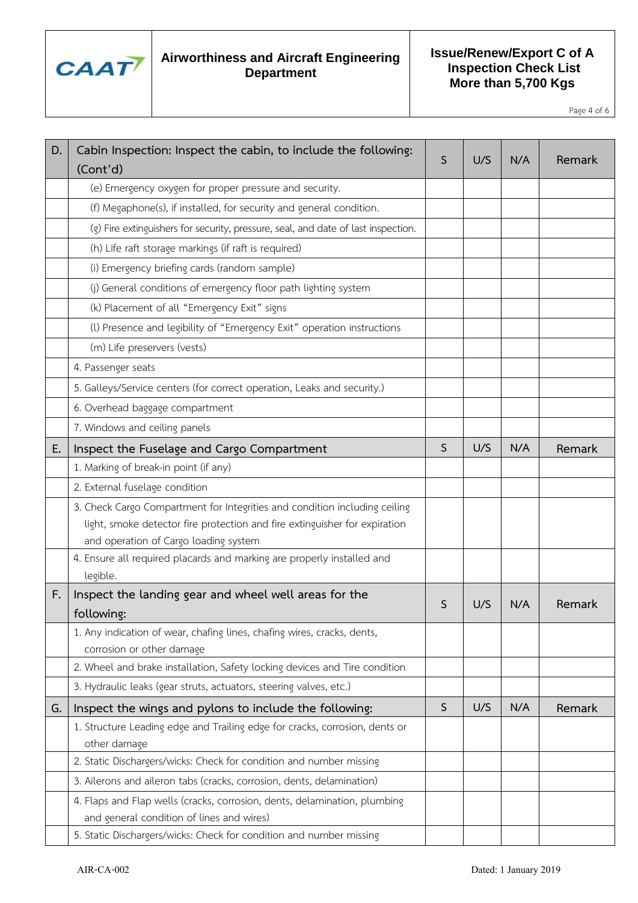

### **Issue/Renew/Export C of A Inspection Check List More than 5,700 Kgs**

Page 4 of 6

| D. | Cabin Inspection: Inspect the cabin, to include the following:<br>(Cont'd)                                             | S           | U/S | N/A | Remark |
|----|------------------------------------------------------------------------------------------------------------------------|-------------|-----|-----|--------|
|    | (e) Emergency oxygen for proper pressure and security.                                                                 |             |     |     |        |
|    | (f) Megaphone(s), if installed, for security and general condition.                                                    |             |     |     |        |
|    | (g) Fire extinguishers for security, pressure, seal, and date of last inspection.                                      |             |     |     |        |
|    | (h) Life raft storage markings (if raft is required)                                                                   |             |     |     |        |
|    | (i) Emergency briefing cards (random sample)                                                                           |             |     |     |        |
|    | (j) General conditions of emergency floor path lighting system                                                         |             |     |     |        |
|    | (k) Placement of all "Emergency Exit" signs                                                                            |             |     |     |        |
|    | (I) Presence and legibility of "Emergency Exit" operation instructions                                                 |             |     |     |        |
|    | (m) Life preservers (vests)                                                                                            |             |     |     |        |
|    | 4. Passenger seats                                                                                                     |             |     |     |        |
|    | 5. Galleys/Service centers (for correct operation, Leaks and security.)                                                |             |     |     |        |
|    | 6. Overhead baggage compartment                                                                                        |             |     |     |        |
|    | 7. Windows and ceiling panels                                                                                          |             |     |     |        |
| Ε. | Inspect the Fuselage and Cargo Compartment                                                                             | $\mathsf S$ | U/S | N/A | Remark |
|    | 1. Marking of break-in point (if any)                                                                                  |             |     |     |        |
|    | 2. External fuselage condition                                                                                         |             |     |     |        |
|    | 3. Check Cargo Compartment for Integrities and condition including ceiling                                             |             |     |     |        |
|    | light, smoke detector fire protection and fire extinguisher for expiration                                             |             |     |     |        |
|    | and operation of Cargo loading system                                                                                  |             |     |     |        |
|    | 4. Ensure all required placards and marking are properly installed and<br>legible.                                     |             |     |     |        |
| F. | Inspect the landing gear and wheel well areas for the<br>following:                                                    | S           | U/S | N/A | Remark |
|    | 1. Any indication of wear, chafing lines, chafing wires, cracks, dents,<br>corrosion or other damage                   |             |     |     |        |
|    | 2. Wheel and brake installation, Safety locking devices and Tire condition                                             |             |     |     |        |
|    | 3. Hydraulic leaks (gear struts, actuators, steering valves, etc.)                                                     |             |     |     |        |
| G. | Inspect the wings and pylons to include the following:                                                                 | $\mathsf S$ | U/S | N/A | Remark |
|    | 1. Structure Leading edge and Trailing edge for cracks, corrosion, dents or<br>other damage                            |             |     |     |        |
|    | 2. Static Dischargers/wicks: Check for condition and number missing                                                    |             |     |     |        |
|    | 3. Ailerons and aileron tabs (cracks, corrosion, dents, delamination)                                                  |             |     |     |        |
|    | 4. Flaps and Flap wells (cracks, corrosion, dents, delamination, plumbing<br>and general condition of lines and wires) |             |     |     |        |
|    | 5. Static Dischargers/wicks: Check for condition and number missing                                                    |             |     |     |        |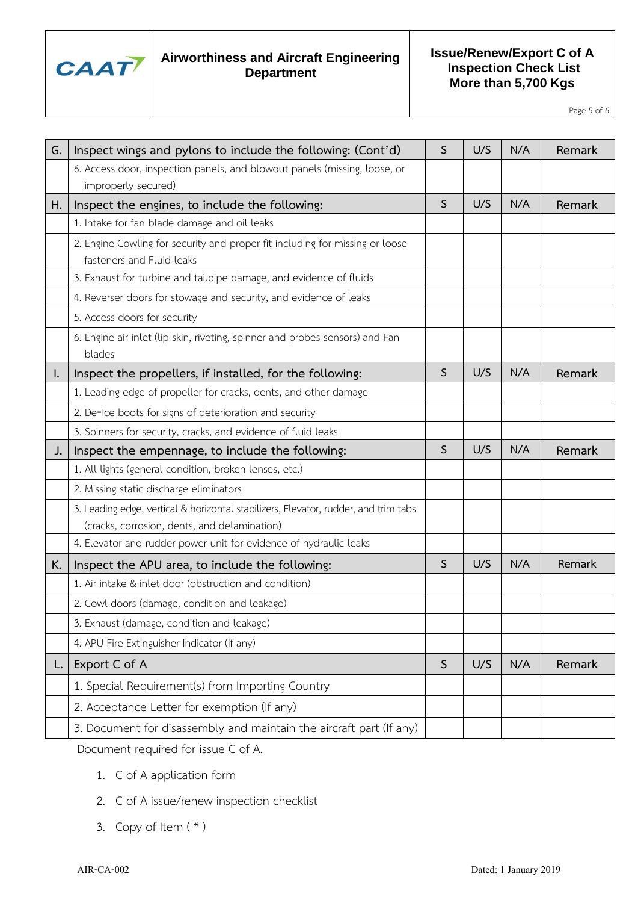

### **Issue/Renew/Export C of A Inspection Check List More than 5,700 Kgs**

Page 5 of 6

| G. | Inspect wings and pylons to include the following: (Cont'd)                                               | S            | U/S | N/A | Remark |
|----|-----------------------------------------------------------------------------------------------------------|--------------|-----|-----|--------|
|    | 6. Access door, inspection panels, and blowout panels (missing, loose, or                                 |              |     |     |        |
|    | improperly secured)                                                                                       |              |     |     |        |
| Н. | Inspect the engines, to include the following:                                                            | $\mathsf{S}$ | U/S | N/A | Remark |
|    | 1. Intake for fan blade damage and oil leaks                                                              |              |     |     |        |
|    | 2. Engine Cowling for security and proper fit including for missing or loose<br>fasteners and Fluid leaks |              |     |     |        |
|    | 3. Exhaust for turbine and tailpipe damage, and evidence of fluids                                        |              |     |     |        |
|    | 4. Reverser doors for stowage and security, and evidence of leaks                                         |              |     |     |        |
|    | 5. Access doors for security                                                                              |              |     |     |        |
|    | 6. Engine air inlet (lip skin, riveting, spinner and probes sensors) and Fan<br>blades                    |              |     |     |        |
| ı. | Inspect the propellers, if installed, for the following:                                                  | $\mathsf S$  | U/S | N/A | Remark |
|    | 1. Leading edge of propeller for cracks, dents, and other damage                                          |              |     |     |        |
|    | 2. De-Ice boots for signs of deterioration and security                                                   |              |     |     |        |
|    | 3. Spinners for security, cracks, and evidence of fluid leaks                                             |              |     |     |        |
| J. | Inspect the empennage, to include the following:                                                          | $\mathsf S$  | U/S | N/A | Remark |
|    | 1. All lights (general condition, broken lenses, etc.)                                                    |              |     |     |        |
|    | 2. Missing static discharge eliminators                                                                   |              |     |     |        |
|    | 3. Leading edge, vertical & horizontal stabilizers, Elevator, rudder, and trim tabs                       |              |     |     |        |
|    | (cracks, corrosion, dents, and delamination)                                                              |              |     |     |        |
|    | 4. Elevator and rudder power unit for evidence of hydraulic leaks                                         |              |     |     |        |
| K. | Inspect the APU area, to include the following:                                                           | S            | U/S | N/A | Remark |
|    | 1. Air intake & inlet door (obstruction and condition)                                                    |              |     |     |        |
|    | 2. Cowl doors (damage, condition and leakage)                                                             |              |     |     |        |
|    | 3. Exhaust (damage, condition and leakage)                                                                |              |     |     |        |
|    | 4. APU Fire Extinguisher Indicator (if any)                                                               |              |     |     |        |
| L. | Export C of A                                                                                             | S            | U/S | N/A | Remark |
|    | 1. Special Requirement(s) from Importing Country                                                          |              |     |     |        |
|    | 2. Acceptance Letter for exemption (If any)                                                               |              |     |     |        |
|    | 3. Document for disassembly and maintain the aircraft part (If any)                                       |              |     |     |        |

Document required for issue C of A.

- 1. C of A application form
- 2. C of A issue/renew inspection checklist
- 3. Copy of Item  $(* )$